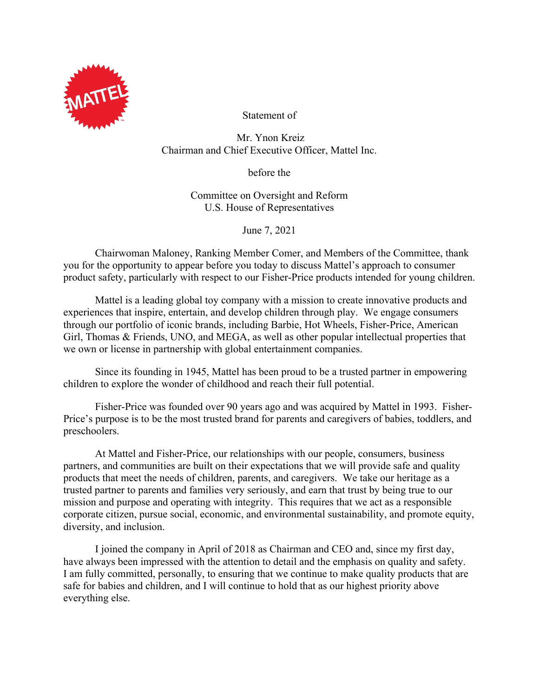

Statement of

Mr. Ynon Kreiz Chairman and Chief Executive Officer, Mattel Inc.

before the

Committee on Oversight and Reform U.S. House of Representatives

June 7, 2021

Chairwoman Maloney, Ranking Member Comer, and Members of the Committee, thank you for the opportunity to appear before you today to discuss Mattel's approach to consumer product safety, particularly with respect to our Fisher-Price products intended for young children.

Mattel is a leading global toy company with a mission to create innovative products and experiences that inspire, entertain, and develop children through play. We engage consumers through our portfolio of iconic brands, including Barbie, Hot Wheels, Fisher-Price, American Girl, Thomas & Friends, UNO, and MEGA, as well as other popular intellectual properties that we own or license in partnership with global entertainment companies.

Since its founding in 1945, Mattel has been proud to be a trusted partner in empowering children to explore the wonder of childhood and reach their full potential.

Fisher-Price was founded over 90 years ago and was acquired by Mattel in 1993. Fisher-Price's purpose is to be the most trusted brand for parents and caregivers of babies, toddlers, and preschoolers.

At Mattel and Fisher-Price, our relationships with our people, consumers, business partners, and communities are built on their expectations that we will provide safe and quality products that meet the needs of children, parents, and caregivers. We take our heritage as a trusted partner to parents and families very seriously, and earn that trust by being true to our mission and purpose and operating with integrity. This requires that we act as a responsible corporate citizen, pursue social, economic, and environmental sustainability, and promote equity, diversity, and inclusion.

I joined the company in April of 2018 as Chairman and CEO and, since my first day, have always been impressed with the attention to detail and the emphasis on quality and safety. I am fully committed, personally, to ensuring that we continue to make quality products that are safe for babies and children, and I will continue to hold that as our highest priority above everything else.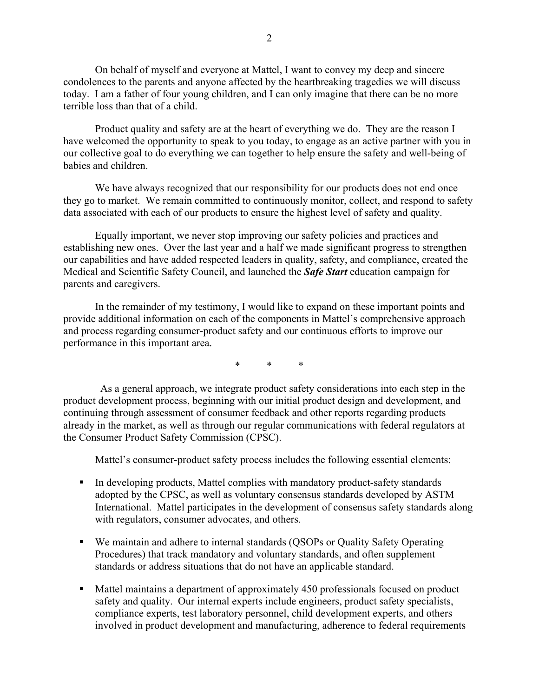On behalf of myself and everyone at Mattel, I want to convey my deep and sincere condolences to the parents and anyone affected by the heartbreaking tragedies we will discuss today. I am a father of four young children, and I can only imagine that there can be no more terrible loss than that of a child.

Product quality and safety are at the heart of everything we do. They are the reason I have welcomed the opportunity to speak to you today, to engage as an active partner with you in our collective goal to do everything we can together to help ensure the safety and well-being of babies and children.

We have always recognized that our responsibility for our products does not end once they go to market. We remain committed to continuously monitor, collect, and respond to safety data associated with each of our products to ensure the highest level of safety and quality.

Equally important, we never stop improving our safety policies and practices and establishing new ones. Over the last year and a half we made significant progress to strengthen our capabilities and have added respected leaders in quality, safety, and compliance, created the Medical and Scientific Safety Council, and launched the *Safe Start* education campaign for parents and caregivers.

In the remainder of my testimony, I would like to expand on these important points and provide additional information on each of the components in Mattel's comprehensive approach and process regarding consumer-product safety and our continuous efforts to improve our performance in this important area.

\* \* \*

 As a general approach, we integrate product safety considerations into each step in the product development process, beginning with our initial product design and development, and continuing through assessment of consumer feedback and other reports regarding products already in the market, as well as through our regular communications with federal regulators at the Consumer Product Safety Commission (CPSC).

Mattel's consumer-product safety process includes the following essential elements:

- In developing products, Mattel complies with mandatory product-safety standards adopted by the CPSC, as well as voluntary consensus standards developed by ASTM International. Mattel participates in the development of consensus safety standards along with regulators, consumer advocates, and others.
- We maintain and adhere to internal standards (QSOPs or Quality Safety Operating Procedures) that track mandatory and voluntary standards, and often supplement standards or address situations that do not have an applicable standard.
- Mattel maintains a department of approximately 450 professionals focused on product safety and quality. Our internal experts include engineers, product safety specialists, compliance experts, test laboratory personnel, child development experts, and others involved in product development and manufacturing, adherence to federal requirements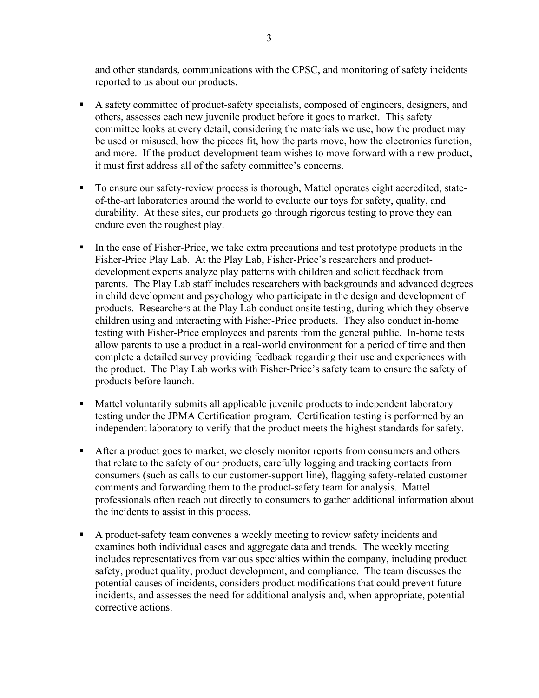and other standards, communications with the CPSC, and monitoring of safety incidents reported to us about our products.

- A safety committee of product-safety specialists, composed of engineers, designers, and others, assesses each new juvenile product before it goes to market. This safety committee looks at every detail, considering the materials we use, how the product may be used or misused, how the pieces fit, how the parts move, how the electronics function, and more. If the product-development team wishes to move forward with a new product, it must first address all of the safety committee's concerns.
- To ensure our safety-review process is thorough, Mattel operates eight accredited, stateof-the-art laboratories around the world to evaluate our toys for safety, quality, and durability. At these sites, our products go through rigorous testing to prove they can endure even the roughest play.
- In the case of Fisher-Price, we take extra precautions and test prototype products in the Fisher-Price Play Lab. At the Play Lab, Fisher-Price's researchers and productdevelopment experts analyze play patterns with children and solicit feedback from parents. The Play Lab staff includes researchers with backgrounds and advanced degrees in child development and psychology who participate in the design and development of products. Researchers at the Play Lab conduct onsite testing, during which they observe children using and interacting with Fisher-Price products. They also conduct in-home testing with Fisher-Price employees and parents from the general public. In-home tests allow parents to use a product in a real-world environment for a period of time and then complete a detailed survey providing feedback regarding their use and experiences with the product. The Play Lab works with Fisher-Price's safety team to ensure the safety of products before launch.
- Mattel voluntarily submits all applicable juvenile products to independent laboratory testing under the JPMA Certification program. Certification testing is performed by an independent laboratory to verify that the product meets the highest standards for safety.
- After a product goes to market, we closely monitor reports from consumers and others that relate to the safety of our products, carefully logging and tracking contacts from consumers (such as calls to our customer-support line), flagging safety-related customer comments and forwarding them to the product-safety team for analysis. Mattel professionals often reach out directly to consumers to gather additional information about the incidents to assist in this process.
- A product-safety team convenes a weekly meeting to review safety incidents and examines both individual cases and aggregate data and trends. The weekly meeting includes representatives from various specialties within the company, including product safety, product quality, product development, and compliance. The team discusses the potential causes of incidents, considers product modifications that could prevent future incidents, and assesses the need for additional analysis and, when appropriate, potential corrective actions.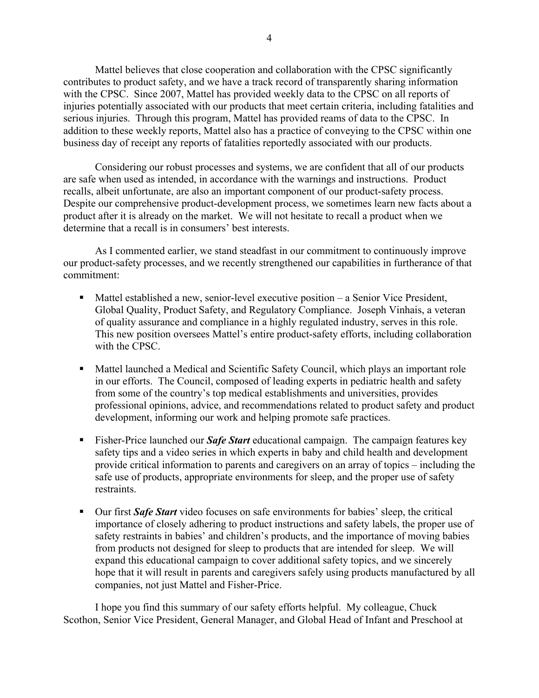Mattel believes that close cooperation and collaboration with the CPSC significantly contributes to product safety, and we have a track record of transparently sharing information with the CPSC. Since 2007, Mattel has provided weekly data to the CPSC on all reports of injuries potentially associated with our products that meet certain criteria, including fatalities and serious injuries. Through this program, Mattel has provided reams of data to the CPSC. In addition to these weekly reports, Mattel also has a practice of conveying to the CPSC within one business day of receipt any reports of fatalities reportedly associated with our products.

Considering our robust processes and systems, we are confident that all of our products are safe when used as intended, in accordance with the warnings and instructions. Product recalls, albeit unfortunate, are also an important component of our product-safety process. Despite our comprehensive product-development process, we sometimes learn new facts about a product after it is already on the market. We will not hesitate to recall a product when we determine that a recall is in consumers' best interests.

As I commented earlier, we stand steadfast in our commitment to continuously improve our product-safety processes, and we recently strengthened our capabilities in furtherance of that commitment:

- Mattel established a new, senior-level executive position a Senior Vice President, Global Quality, Product Safety, and Regulatory Compliance. Joseph Vinhais, a veteran of quality assurance and compliance in a highly regulated industry, serves in this role. This new position oversees Mattel's entire product-safety efforts, including collaboration with the CPSC.
- Mattel launched a Medical and Scientific Safety Council, which plays an important role in our efforts. The Council, composed of leading experts in pediatric health and safety from some of the country's top medical establishments and universities, provides professional opinions, advice, and recommendations related to product safety and product development, informing our work and helping promote safe practices.
- Fisher-Price launched our *Safe Start* educational campaign. The campaign features key safety tips and a video series in which experts in baby and child health and development provide critical information to parents and caregivers on an array of topics – including the safe use of products, appropriate environments for sleep, and the proper use of safety restraints.
- **Dur first Safe Start** video focuses on safe environments for babies' sleep, the critical importance of closely adhering to product instructions and safety labels, the proper use of safety restraints in babies' and children's products, and the importance of moving babies from products not designed for sleep to products that are intended for sleep. We will expand this educational campaign to cover additional safety topics, and we sincerely hope that it will result in parents and caregivers safely using products manufactured by all companies, not just Mattel and Fisher-Price.

I hope you find this summary of our safety efforts helpful. My colleague, Chuck Scothon, Senior Vice President, General Manager, and Global Head of Infant and Preschool at